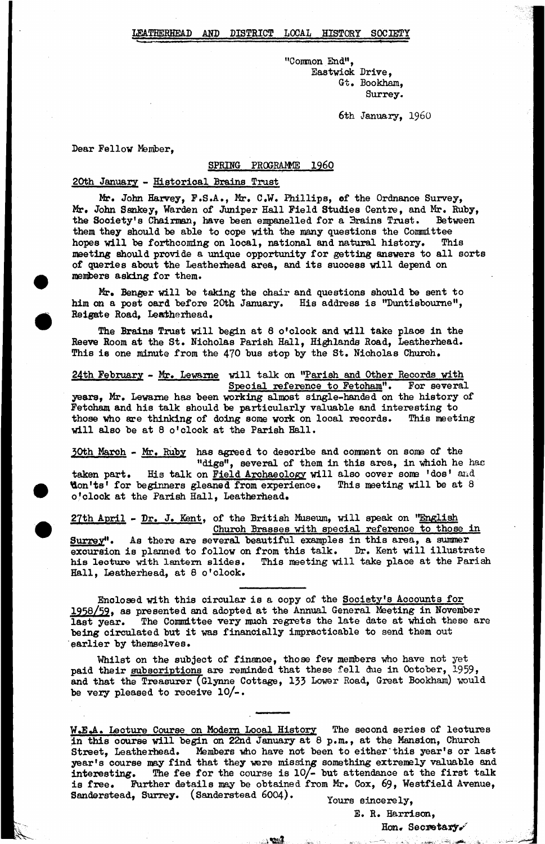"Common End", Eastwick Drive, Gt. Bookham, Surrey.

6th January, i960

Dear Fellow Member,

### SPRING PROGRAMME 1960

#### 20th January - Historical Brains Trust

Mr. John Harvey, P.S.A., Mr. C.W. Phillips, of the Ordnance Survey, Mr. John Sankey, Warden of Juniper Hall Field Studies Centre, and Mr. Ruby, the Society's Chairman, have been empanelled for a Brains Trust. Between them they should he able to cope with the many questions the Committee hopes will be forthcoming on local, national and natural history. This meeting should provide a unique opportunity for getting answers to all sorts of queries about the Leatheihead area, and its suocess will depend on members asking for them.

Mr. Benger will be taking the chair and questions should be sent to him on a post oard before 20th January. His address is "Duntisboume", Reigate Road, Leatherhead.

The Brains Trust will begin at 8 o'clock and will take place in the Reeve Room at the St. Nicholas Parish Hall, Highlands Road, Leatherhead. This is one minute from the 470 bus stop by the St. Nicholas Churoh.

24th February - Mr. Lewame will talk on "Parish and Other Records with Special reference to Fetoham". For several years, Mr. Lewame has been working almost single-handed on the history of Fetcham and his talk should be particularly valuable and interesting to those who are thinking of doing some work on looal records. This meeting will also be at 8 o'clock at the Parish Hall.

50th March - Mr. Ruby has agreed to describe and comment on some of the "digs", several of them in this area, in whioh he has taken part. His talk on Field Archaeology will also oover some 'dos' and **fon'ts' for beginners gleaned from experience.** This meeting will be at 8 o'clock at the Parish Hall, Leatherhead.

27th April - Dr. J. Kent, of the British Museum, will speak on "English Churoh Brasses with special reference to those in Surrey". As there are several beautiful examples in this area, a summer excursion is planned to follow on from this talk. Dr. Kent will illustrate his lecture with lantern slides. This meeting will take place at the Parish Hall, Leatherhead, at 8 o'clock.

Enclosed with this circular is a copy of the Society's Accounts for 1958/59. as presented and adopted at the Annual General Meeting in November last year. The Committee very much regrets the late date at which these are being circulated but it was financially impracticable to send them out earlier by themselves.

Whilst on the subject of finance, those few members who have not yet paid their subscriptions are reminded that these fell due in October, 1959, and that the Treasurer (Glynne Cottage, 133 Lower Road, Great Bookham) would be very pleased to receive 10/-.

W.E.A. Lecture Course on Modern Looal History The second series of leotures in this oourse will begin on 22nd January at 8 p.m., at the Mansion, Church Members who have not been to either this year's or last year's course may find that they were missing something extremely valuable and interesting. The fee for the course is 10/- but attendance at the first talk is free. Further details may be obtained from Mr. Cox, 69, Westfield Avenue, Sanderstead, Surrey. (Sanderstead 6004). Yours sincerely,

 $\sim$ 

E. R. Harrison,

Hon. Secretary.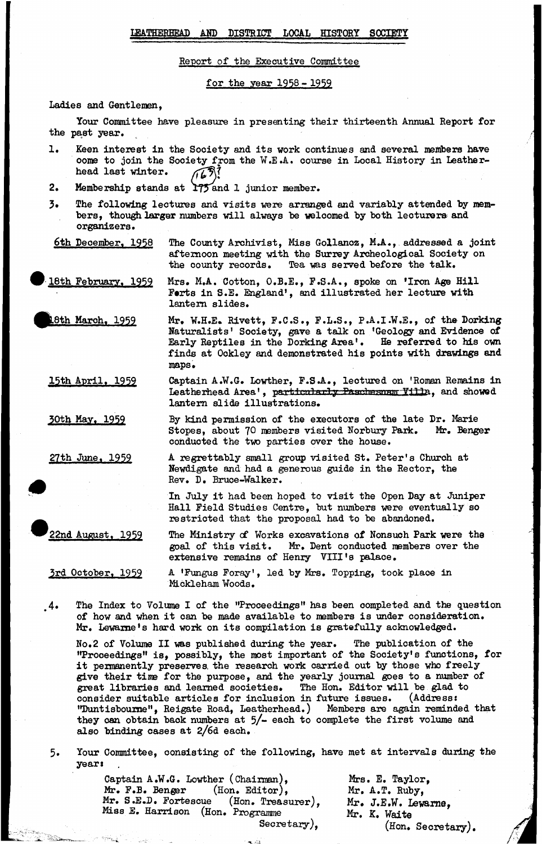### LEATHERHEAD AND DISTRICT LOCAL HISTORY SOCIETY

Report of the Executive Committee

for the year 1958 - 1959

Ladies and Gentlemen,

Your Committee have pleasure in presenting their thirteenth Annual Report for the past year.

- 1. Keen interest in the Society and its work continues and several members have oome to join the Society from the W.E.A. course in Local History in Leather-<br>head last winter.  $\sqrt{2\pi}$ . head last winter.
- 2. Membership stands at 175 and 1 junior member.
- 3. The following lectures and visits were arranged and variably attended by members, though larger numbers will always be welcomed by both lecturers and organizers.

6th Deoember. 1958 The County Archivist, Miss Gollanoz, M.A., addressed a joint afternoon meeting with the Surrey Archeological Society on the oounty records. Tea was served before the talk.

8th February, 1959 Mrs. M.A. Cotton, O.B.E., F.S.A., spoke on 'Iron Age Hill Forts in S.E. England', and illustrated her lecture with lantern slides.

8th March, 1959 Mr. W.H.E. Rivett, F.C.S., F.L.S., P.A.I.W.E., of the Dorking Naturalists' Society, gave a talk on 'Geology and Evidence of Early Reptiles in the Dorking Area'. He referred to his own finds at Ockley and demonstrated his points with drawings and maps.

15th April. 1959 Captain A.W.G. Lowther, F.S.A., lectured on 'Roman Remains in Leatherhead Area', particularly Paschesnam Yilla, and showed lantern slide illustrations.

> By kind permission of the executors of the late Dr. Marie Stopes, about 70 members visited Norbury Park. Mr. Benger conducted the two parties over the house.

27th June. 1959

<u>30th May, 1959</u>

A regrettably small group visited St. Peter's Church at Newdigate and had a generous guide in the Rector, the Rev. D. Bruce-Walker.

In July it had been hoped to visit the Open Day at Juniper Hall Field Studies Centre, but numbers were eventually so restricted that the proposal had to be abandoned.

22nd August. 1959

The Ministry of Works excavations of Nonsuch Park were the goal of this visit. Mr. Dent conducted members over the extensive remains of Henry VIII's palace.

3rd October. 1959

A 'Fungus Foray', led by Mrs. Topping, took place in Mickleham Woods.

4\* The Index to Volume I of the "Proceedings" has been completed and the question of how and when it can be made available to members is under consideration. Mr. Lewame's hard work on its compilation is gratefully acknowledged.

No.2 of Volume II was published during the year. The publication of the "Proceedings" is, possibly, the most important of the Sooiety's functions, for it permanently preserves, the research work carried out by those who freely give their time for the purpose, and the yearly journal goes to a number of great libraries and learned societies. The Hon. Editor will be glad to consider suitable articles for inclusion in future issues. (Address: "Duntisboume", Reigate Road, Leatherhead.) Members are again reminded that they oan obtain back numbers at 5/- each to complete the first volume and also binding cases at *2/66.* each.

5. Your Committee, consisting of the following, have met at intervals during the year:

> Captain A.W.G. Lowther (Chairman), Mr. F.B. Benger  $(Hon. Editor)$ , Mr. S.E.D. Fortescue (Hon. Treasurer), Miss *E.* Harrison (Hon. Programme Secretary),

Mrs. E. Taylor, Mr. A.T. Ruby, Mr. J.E.W. Lewarne, Mr. K. Waite  $($ Hon. Secretary).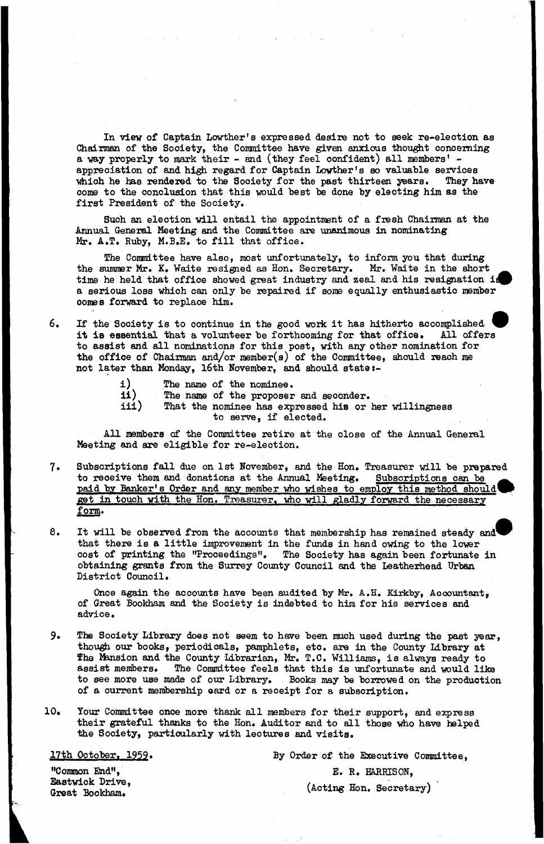In view of Captain Lowther's expressed desire not to seek re-election as Chairman of the Society, the Committee have given anxious thought concerning a way properly to mark their - and (they feel oonfident) all members' appreciation of and high regard for Captain Lowther's so valuable services which he has rendered to the Society for the past thirteen years. They have come to the conclusion that this would best be done by electing him as the first President of the Society.

Such an election will entail the appointment of a fiesh Chairman at the Annual General Meeting and the Committee are unanimous in nominating Mr. A.T. Ruby, M.B.E. to fill that office.

The Committee have also, most unfortunately, to inform you that during the summer Mr. K. Waite resigned as Hon. Secretary. Mr. Waite in the short time he held that office showed great industry and zeal and his resignation is a serious loss which can only be repaired if some equally enthusiastic member oomes forward to replace him.

6. If the Sooiety is to continue in the good work it has hitherto accomplished it is essential that a volunteer be forthcoming for that office. All offers to assist and all nominations for this post, with any other nomination for the office of Chairman and/or member(s) of the Committee, should reach me not later than Monday, 16th November, and should state i-

- i) The name of the nominee.<br>ii) The name of the proposer
- ii) The name of the proposer and seconder.<br>iii) That the nominee has expressed his or
	- That the nominee has expressed his or her willingness to serve, if elected.

All members of the Committee retire at the close of the Annual General Meeting and axe eligible for re-election.

- 7. Subscriptions fall due on 1st November, and the Hon. Treasurer will be prepared to receive them and donations at the Annual Meeting. Subscriptions can be paid by Banker's Order and any member who wishes to employ this method should get in touch with the Hon. Treasurer, who will gladly forward the necessary form.
- 8. It will be observed from the accounts that membership has remained steady and that there is a little improvement in the funds in hand owing to the lower cost of printing the "Proceedings", The Sooiety has again been fortunate in obtaining grants from the Surrey County Council and the Leatherhead Urban District Council.

Once again the accounts have been audited by Mr. A.H. Kirkby, Accountant, of Great Bookham and the Society is indebted to him for his services and advice.

- 9. The Society Library does not seem to have been much used during the past year, though our books» periodicals, pamphlets, etc. are in the County Library at The Mansion and the County Librarian, Mr. T.C. Williams, is always ready to assist members. The Committee feels that this is unfortunate and would like to see more use made of our Library. Books may be borrowed on the production of a current membership oard or a receipt for a subscription.
- 10. Your Committee once more thank all members for their support, and express their grateful thanks to the Hon. Auditor and to all those who have helped the Society, particularly with lectures and visits.

17th October. 1959. **By Order of the Executive Committee**. "Common End", E. R. HARRISON,

Eastwick Drive,

Great Bookham. (Acting Hon. Secretary)